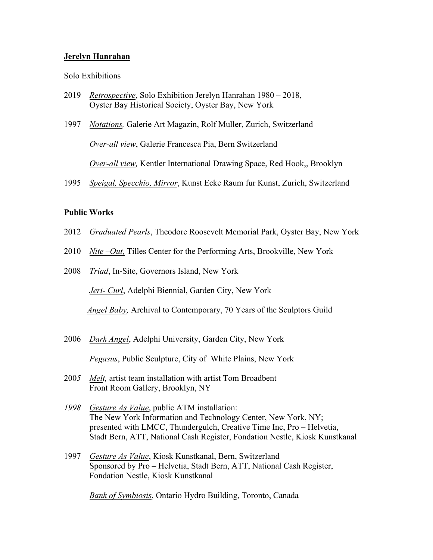# **Jerelyn Hanrahan**

### Solo Exhibitions

- 2019 *Retrospective*, Solo Exhibition Jerelyn Hanrahan 1980 2018, Oyster Bay Historical Society, Oyster Bay, New York
- 1997 *Notations,* Galerie Art Magazin, Rolf Muller, Zurich, Switzerland *Over-all view*, Galerie Francesca Pia, Bern Switzerland *Over-all view,* Kentler International Drawing Space, Red Hook,, Brooklyn
- 1995 *Speigal, Specchio, Mirror*, Kunst Ecke Raum fur Kunst, Zurich, Switzerland

### **Public Works**

- 2012 *Graduated Pearls*, Theodore Roosevelt Memorial Park, Oyster Bay, New York
- 2010 *Nite –Out,* Tilles Center for the Performing Arts, Brookville, New York
- 2008 *Triad*, In-Site, Governors Island, New York

*Jeri- Curl*, Adelphi Biennial, Garden City, New York

*Angel Baby,* Archival to Contemporary, 70 Years of the Sculptors Guild

2006 *Dark Angel*, Adelphi University, Garden City, New York

 *Pegasus*, Public Sculpture, City of White Plains, New York

- 200*5 Melt,* artist team installation with artist Tom Broadbent Front Room Gallery, Brooklyn, NY
- *1998 Gesture As Value*, public ATM installation: The New York Information and Technology Center, New York, NY; presented with LMCC, Thundergulch, Creative Time Inc, Pro – Helvetia, Stadt Bern, ATT, National Cash Register, Fondation Nestle, Kiosk Kunstkanal
- 1997 *Gesture As Value*, Kiosk Kunstkanal, Bern, Switzerland Sponsored by Pro – Helvetia, Stadt Bern, ATT, National Cash Register, Fondation Nestle, Kiosk Kunstkanal

*Bank of Symbiosis*, Ontario Hydro Building, Toronto, Canada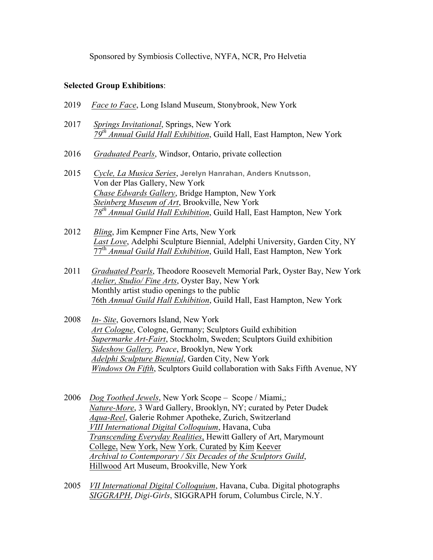Sponsored by Symbiosis Collective, NYFA, NCR, Pro Helvetia

# **Selected Group Exhibitions**:

- 2019 *Face to Face*, Long Island Museum, Stonybrook, New York
- 2017 *Springs Invitational*, Springs, New York *79th Annual Guild Hall Exhibition*, Guild Hall, East Hampton, New York
- 2016 *Graduated Pearls*, Windsor, Ontario, private collection
- 2015 *Cycle, La Musica Series*, **Jerelyn Hanrahan, Anders Knutsson,** Von der Plas Gallery, New York *Chase Edwards Gallery*, Bridge Hampton, New York *Steinberg Museum of Art*, Brookville, New York *78th Annual Guild Hall Exhibition*, Guild Hall, East Hampton, New York
- 2012 *Bling*, Jim Kempner Fine Arts, New York *Last Love*, Adelphi Sculpture Biennial, Adelphi University, Garden City, NY 77th *Annual Guild Hall Exhibition*, Guild Hall, East Hampton, New York
- 2011 *Graduated Pearls*, Theodore Roosevelt Memorial Park, Oyster Bay, New York *Atelier, Studio/ Fine Arts*, Oyster Bay, New York Monthly artist studio openings to the public 76th *Annual Guild Hall Exhibition*, Guild Hall, East Hampton, New York
- 2008 *In- Site*, Governors Island, New York *Art Cologne*, Cologne, Germany; Sculptors Guild exhibition *Supermarke Art-Fairt*, Stockholm, Sweden; Sculptors Guild exhibition  *Sideshow Gallery, Peace*, Brooklyn, New York *Adelphi Sculpture Biennial*, Garden City, New York  *Windows On Fifth*, Sculptors Guild collaboration with Saks Fifth Avenue, NY
- 2006 *Dog Toothed Jewels*, New York Scope Scope / Miami,; *Nature-More*, 3 Ward Gallery, Brooklyn, NY; curated by Peter Dudek *Aqua-Reel*, Galerie Rohmer Apotheke, Zurich, Switzerland  *VIII International Digital Colloquium*, Havana, Cuba *Transcending Everyday Realities*, Hewitt Gallery of Art, Marymount College, New York, New York. Curated by Kim Keever *Archival to Contemporary / Six Decades of the Sculptors Guild*, Hillwood Art Museum, Brookville, New York
- 2005 *VII International Digital Colloquium*, Havana, Cuba. Digital photographs *SIGGRAPH*, *Digi-Girls*, SIGGRAPH forum, Columbus Circle, N.Y.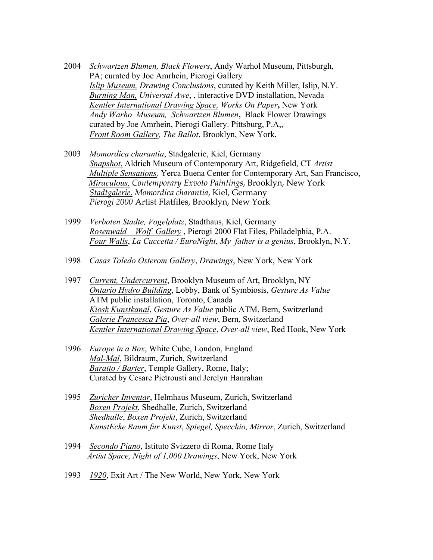- 2004 *Schwartzen Blumen, Black Flowers*, Andy Warhol Museum, Pittsburgh, PA; curated by Joe Amrhein, Pierogi Gallery *Islip Museum, Drawing Conclusions*, curated by Keith Miller, Islip, N.Y. *Burning Man, Universal Awe*, , interactive DVD installation, Nevada*Kentler International Drawing Space, Works On Paper***,** New York *Andy Warho Museum,**Schwartzen Blumen***,** Black Flower Drawings curated by Joe Amrhein, Pierogi Gallery. Pittsburg, P.A,, *Front Room Gallery, The Ballot*, Brooklyn, New York,
- 2003 *Momordica charantia*, Stadgalerie, Kiel, Germany *Snapshot*, Aldrich Museum of Contemporary Art, Ridgefield, CT *Artist Multiple Sensations,* Yerca Buena Center for Contemporary Art, San Francisco, *Miraculous, Contemporary Exvoto Paintings*, Brooklyn, New York *Stadtgalerie, Momordica charantia*, Kiel, Germany *Pierogi 2000* Artist Flatfiles, Brooklyn, New York
- 1999 *Verboten Stadte, Vogelplatz*, Stadthaus, Kiel, Germany *Rosenwald – Wolf Gallery* , Pierogi 2000 Flat Files, Philadelphia, P.A. *Four Walls*, *La Cuccetta / EuroNight*, *My father is a genius*, Brooklyn, N.Y.
- 1998 *Casas Toledo Osterom Gallery*, *Drawings*, New York, New York
- 1997 *Current, Undercurrent*, Brooklyn Museum of Art, Brooklyn, NY *Ontario Hydro Building*, Lobby, Bank of Symbiosis, *Gesture As Value* ATM public installation, Toronto, Canada *Kiosk Kunstkanal*, *Gesture As Value* public ATM, Bern, Switzerland *Galerie Francesca Pia*, *Over-all view*, Bern, Switzerland *Kentler International Drawing Space*, *Over-all view*, Red Hook, New York
- 1996 *Europe in a Box*, White Cube, London, England *Mal-Mal*, Bildraum, Zurich, Switzerland *Baratto / Barter*, Temple Gallery, Rome, Italy; Curated by Cesare Pietrousti and Jerelyn Hanrahan
- 1995 *Zuricher Inventar*, Helmhaus Museum, Zurich, Switzerland *Boxen Projekt*, Shedhalle, Zurich, Switzerland *Shedhalle*, *Boxen Projekt*, Zurich, Switzerland *KunstEcke Raum fur Kunst*, *Spiegel, Specchio, Mirror*, Zurich, Switzerland
- 1994 *Secondo Piano*, Istituto Svizzero di Roma, Rome Italy *Artist Space, Night of 1,000 Drawings*, New York, New York
- 1993 *1920*, Exit Art / The New World, New York, New York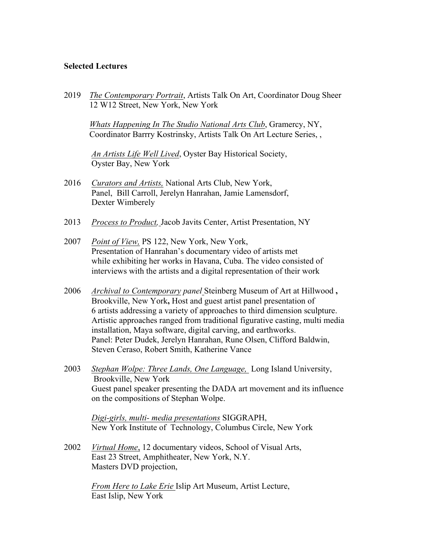# **Selected Lectures**

2019 *The Contemporary Portrait*, Artists Talk On Art, Coordinator Doug Sheer 12 W12 Street, New York, New York

 *Whats Happening In The Studio National Arts Club*, Gramercy, NY, Coordinator Barrry Kostrinsky, Artists Talk On Art Lecture Series, ,

 *An Artists Life Well Lived*, Oyster Bay Historical Society, Oyster Bay, New York

- 2016 *Curators and Artists,* National Arts Club, New York, Panel, Bill Carroll, Jerelyn Hanrahan, Jamie Lamensdorf, Dexter Wimberely
- 2013 *Process to Product,* Jacob Javits Center, Artist Presentation, NY
- 2007*Point of View,* PS 122, New York, New York, Presentation of Hanrahan's documentary video of artists met while exhibiting her works in Havana, Cuba. The video consisted of interviews with the artists and a digital representation of their work
- 2006*Archival to Contemporary panel* Steinberg Museum of Art at Hillwood **,** Brookville, New York**,** Host and guest artist panel presentation of 6 artists addressing a variety of approaches to third dimension sculpture. Artistic approaches ranged from traditional figurative casting, multi media installation, Maya software, digital carving, and earthworks. Panel: Peter Dudek, Jerelyn Hanrahan, Rune Olsen, Clifford Baldwin, Steven Ceraso, Robert Smith, Katherine Vance
- 2003*Stephan Wolpe: Three Lands, One Language,* Long Island University, Brookville, New York Guest panel speaker presenting the DADA art movement and its influence on the compositions of Stephan Wolpe.

*Digi-girls, multi- media presentations* SIGGRAPH, New York Institute of Technology, Columbus Circle, New York

2002*Virtual Home*, 12 documentary videos, School of Visual Arts, East 23 Street, Amphitheater, New York, N.Y. Masters DVD projection,

> *From Here to Lake Erie* Islip Art Museum, Artist Lecture, East Islip, New York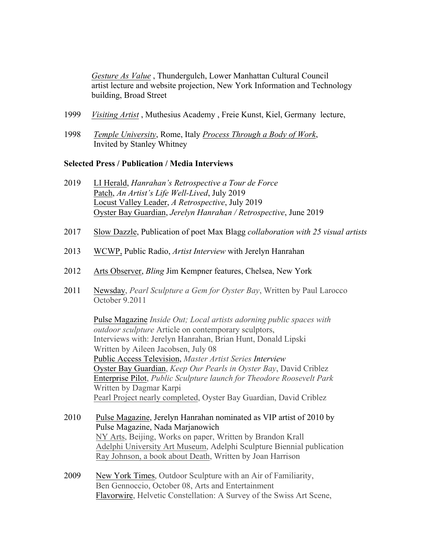*Gesture As Value* , Thundergulch, Lower Manhattan Cultural Council artist lecture and website projection, New York Information and Technology building, Broad Street

- 1999 *Visiting Artist* , Muthesius Academy , Freie Kunst, Kiel, Germany lecture,
- 1998 *Temple University*, Rome, Italy *Process Through a Body of Work*, Invited by Stanley Whitney

#### **Selected Press / Publication / Media Interviews**

- 2019 LI Herald, *Hanrahan's Retrospective a Tour de Force* Patch, *An Artist's Life Well-Lived*, July 2019 Locust Valley Leader, *A Retrospective*, July 2019 Oyster Bay Guardian, *Jerelyn Hanrahan / Retrospective*, June 2019
- 2017 Slow Dazzle, Publication of poet Max Blagg *collaboration with 25 visual artists*
- 2013 WCWP, Public Radio, *Artist Interview* with Jerelyn Hanrahan
- 2012 Arts Observer, *Bling* Jim Kempner features, Chelsea, New York
- 2011 Newsday, *Pearl Sculpture a Gem for Oyster Bay*, Written by Paul Larocco October 9.2011

 Pulse Magazine *Inside Out; Local artists adorning public spaces with outdoor sculpture* Article on contemporary sculptors, Interviews with: Jerelyn Hanrahan, Brian Hunt, Donald Lipski Written by Aileen Jacobsen, July 08 Public Access Television, *Master Artist Series Interview* Oyster Bay Guardian, *Keep Our Pearls in Oyster Bay*, David Criblez Enterprise Pilot, *Public Sculpture launch for Theodore Roosevelt Park* Written by Dagmar Karpi Pearl Project nearly completed, Oyster Bay Guardian, David Criblez

- 2010 Pulse Magazine, Jerelyn Hanrahan nominated as VIP artist of 2010 by Pulse Magazine, Nada Marjanowich NY Arts, Beijing, Works on paper, Written by Brandon Krall Adelphi University Art Museum, Adelphi Sculpture Biennial publication Ray Johnson, a book about Death, Written by Joan Harrison
- 2009 New York Times, Outdoor Sculpture with an Air of Familiarity, Ben Gennoccio, October 08, Arts and Entertainment Flavorwire, Helvetic Constellation: A Survey of the Swiss Art Scene,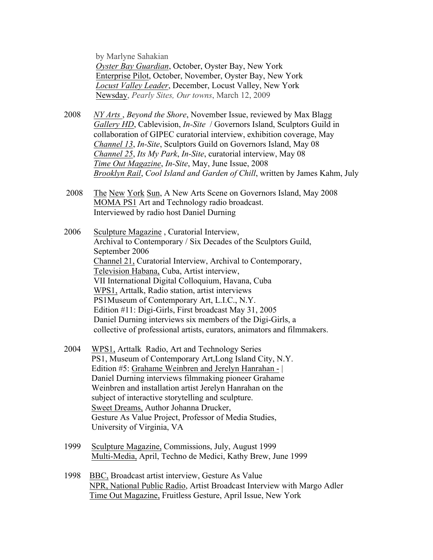by Marlyne Sahakian *Oyster Bay Guardian*, October, Oyster Bay, New York Enterprise Pilot, October, November, Oyster Bay, New York *Locust Valley Leader*, December, Locust Valley, New York Newsday, *Pearly Sites, Our towns*, March 12, 2009

- 2008 *NY Arts* , *Beyond the Shore*, November Issue, reviewed by Max Blagg *Gallery HD*, Cablevision, *In-Site* / Governors Island, Sculptors Guild in collaboration of GIPEC curatorial interview, exhibition coverage, May *Channel 13*, *In-Site*, Sculptors Guild on Governors Island, May 08 *Channel 25*, *Its My Park*, *In-Site*, curatorial interview, May 08 *Time Out Magazine*, *In-Site*, May, June Issue, 2008 *Brooklyn Rail*, *Cool Island and Garden of Chill*, written by James Kahm, July
- 2008 The New York Sun, A New Arts Scene on Governors Island, May 2008 MOMA PS1 Art and Technology radio broadcast. Interviewed by radio host Daniel Durning

2006 Sculpture Magazine , Curatorial Interview, Archival to Contemporary / Six Decades of the Sculptors Guild, September 2006 Channel 21, Curatorial Interview, Archival to Contemporary, Television Habana, Cuba, Artist interview, VII International Digital Colloquium, Havana, Cuba WPS1, Arttalk, Radio station, artist interviews PS1Museum of Contemporary Art, L.I.C., N.Y. Edition #11: Digi-Girls, First broadcast May 31, 2005 Daniel Durning interviews six members of the Digi-Girls, a collective of professional artists, curators, animators and filmmakers.

- 2004 WPS1, Arttalk Radio, Art and Technology Series PS1, Museum of Contemporary Art,Long Island City, N.Y. Edition #5: Grahame Weinbren and Jerelyn Hanrahan - | Daniel Durning interviews filmmaking pioneer Grahame Weinbren and installation artist Jerelyn Hanrahan on the subject of interactive storytelling and sculpture. Sweet Dreams, Author Johanna Drucker, Gesture As Value Project, Professor of Media Studies, University of Virginia, VA
- 1999 Sculpture Magazine, Commissions, July, August 1999 Multi-Media, April, Techno de Medici, Kathy Brew, June 1999
- 1998 BBC, Broadcast artist interview, Gesture As Value NPR, National Public Radio, Artist Broadcast Interview with Margo Adler Time Out Magazine, Fruitless Gesture, April Issue, New York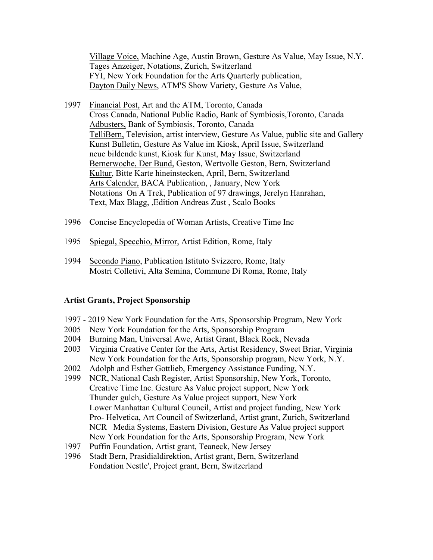Village Voice, Machine Age, Austin Brown, Gesture As Value, May Issue, N.Y. Tages Anzeiger, Notations, Zurich, Switzerland FYI, New York Foundation for the Arts Quarterly publication, Dayton Daily News, ATM'S Show Variety, Gesture As Value,

- 1997 Financial Post, Art and the ATM, Toronto, Canada Cross Canada, National Public Radio, Bank of Symbiosis,Toronto, Canada Adbusters, Bank of Symbiosis, Toronto, Canada TelliBern, Television, artist interview, Gesture As Value, public site and Gallery Kunst Bulletin, Gesture As Value im Kiosk, April Issue, Switzerland neue bildende kunst, Kiosk fur Kunst, May Issue, Switzerland Bernerwoche, Der Bund, Geston, Wertvolle Geston, Bern, Switzerland Kultur, Bitte Karte hineinstecken, April, Bern, Switzerland Arts Calender, BACA Publication, , January, New York Notations On A Trek, Publication of 97 drawings, Jerelyn Hanrahan, Text, Max Blagg, ,Edition Andreas Zust , Scalo Books
- 1996 Concise Encyclopedia of Woman Artists, Creative Time Inc
- 1995 Spiegal, Specchio, Mirror, Artist Edition, Rome, Italy
- 1994 Secondo Piano, Publication Istituto Svizzero, Rome, Italy Mostri Colletivi, Alta Semina, Commune Di Roma, Rome, Italy

#### **Artist Grants, Project Sponsorship**

- 1997 2019 New York Foundation for the Arts, Sponsorship Program, New York
- 2005 New York Foundation for the Arts, Sponsorship Program
- 2004 Burning Man, Universal Awe, Artist Grant, Black Rock, Nevada
- 2003 Virginia Creative Center for the Arts, Artist Residency, Sweet Briar, Virginia New York Foundation for the Arts, Sponsorship program, New York, N.Y.
- 2002 Adolph and Esther Gottlieb, Emergency Assistance Funding, N.Y.
- 1999 NCR, National Cash Register, Artist Sponsorship, New York, Toronto, Creative Time Inc. Gesture As Value project support, New York Thunder gulch, Gesture As Value project support, New York Lower Manhattan Cultural Council, Artist and project funding, New York Pro- Helvetica, Art Council of Switzerland, Artist grant, Zurich, Switzerland NCR Media Systems, Eastern Division, Gesture As Value project support New York Foundation for the Arts, Sponsorship Program, New York
- 1997 Puffin Foundation, Artist grant, Teaneck, New Jersey
- 1996 Stadt Bern, Prasidialdirektion, Artist grant, Bern, Switzerland Fondation Nestle', Project grant, Bern, Switzerland